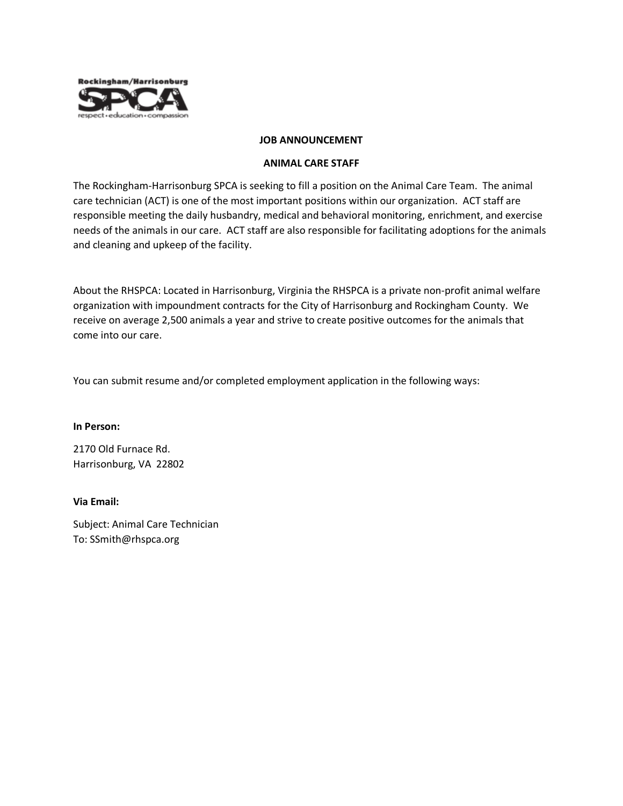

### **JOB ANNOUNCEMENT**

### **ANIMAL CARE STAFF**

The Rockingham-Harrisonburg SPCA is seeking to fill a position on the Animal Care Team. The animal care technician (ACT) is one of the most important positions within our organization. ACT staff are responsible meeting the daily husbandry, medical and behavioral monitoring, enrichment, and exercise needs of the animals in our care. ACT staff are also responsible for facilitating adoptions for the animals and cleaning and upkeep of the facility.

About the RHSPCA: Located in Harrisonburg, Virginia the RHSPCA is a private non-profit animal welfare organization with impoundment contracts for the City of Harrisonburg and Rockingham County. We receive on average 2,500 animals a year and strive to create positive outcomes for the animals that come into our care.

You can submit resume and/or completed employment application in the following ways:

#### **In Person:**

2170 Old Furnace Rd. Harrisonburg, VA 22802

## **Via Email:**

Subject: Animal Care Technician To: SSmith@rhspca.org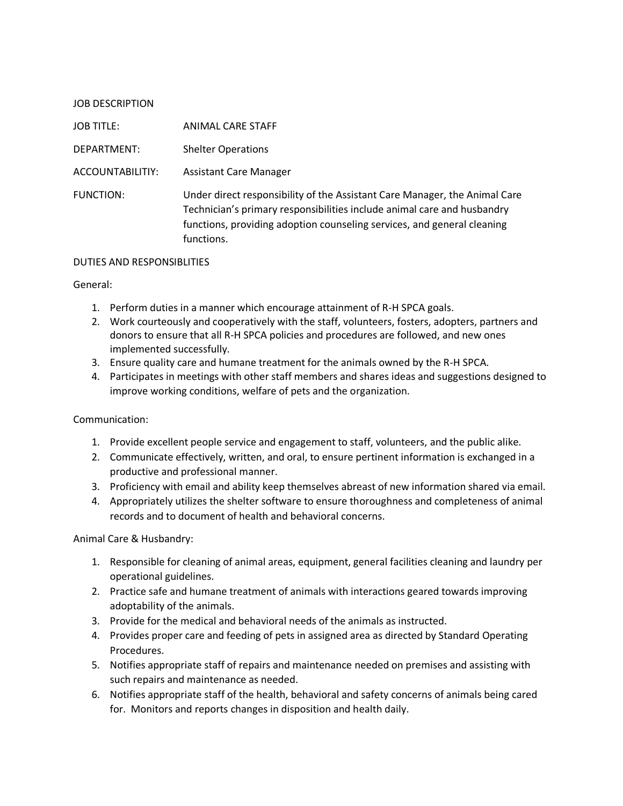| <b>JOB DESCRIPTION</b> |                                                                                                                                                                                                                                                |
|------------------------|------------------------------------------------------------------------------------------------------------------------------------------------------------------------------------------------------------------------------------------------|
| <b>JOB TITLE:</b>      | ANIMAL CARE STAFF                                                                                                                                                                                                                              |
| DEPARTMENT:            | <b>Shelter Operations</b>                                                                                                                                                                                                                      |
| ACCOUNTABILITIY:       | <b>Assistant Care Manager</b>                                                                                                                                                                                                                  |
| FUNCTION:              | Under direct responsibility of the Assistant Care Manager, the Animal Care<br>Technician's primary responsibilities include animal care and husbandry<br>functions, providing adoption counseling services, and general cleaning<br>functions. |

### DUTIES AND RESPONSIBLITIES

### General:

- 1. Perform duties in a manner which encourage attainment of R-H SPCA goals.
- 2. Work courteously and cooperatively with the staff, volunteers, fosters, adopters, partners and donors to ensure that all R-H SPCA policies and procedures are followed, and new ones implemented successfully.
- 3. Ensure quality care and humane treatment for the animals owned by the R-H SPCA.
- 4. Participates in meetings with other staff members and shares ideas and suggestions designed to improve working conditions, welfare of pets and the organization.

## Communication:

- 1. Provide excellent people service and engagement to staff, volunteers, and the public alike.
- 2. Communicate effectively, written, and oral, to ensure pertinent information is exchanged in a productive and professional manner.
- 3. Proficiency with email and ability keep themselves abreast of new information shared via email.
- 4. Appropriately utilizes the shelter software to ensure thoroughness and completeness of animal records and to document of health and behavioral concerns.

Animal Care & Husbandry:

- 1. Responsible for cleaning of animal areas, equipment, general facilities cleaning and laundry per operational guidelines.
- 2. Practice safe and humane treatment of animals with interactions geared towards improving adoptability of the animals.
- 3. Provide for the medical and behavioral needs of the animals as instructed.
- 4. Provides proper care and feeding of pets in assigned area as directed by Standard Operating Procedures.
- 5. Notifies appropriate staff of repairs and maintenance needed on premises and assisting with such repairs and maintenance as needed.
- 6. Notifies appropriate staff of the health, behavioral and safety concerns of animals being cared for. Monitors and reports changes in disposition and health daily.